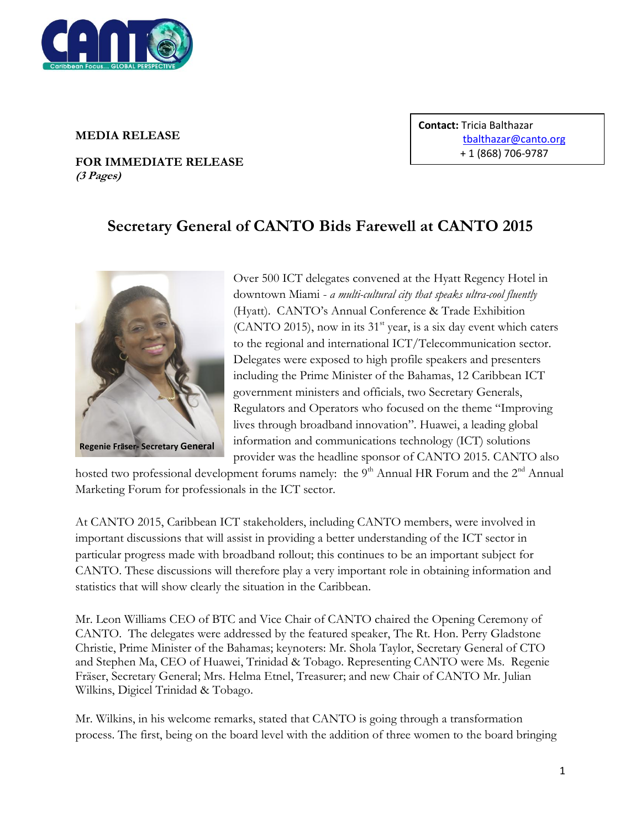

## **MEDIA RELEASE**

**FOR IMMEDIATE RELEASE (3 Pages)**

**Contact:** Tricia Balthazar [tbalthazar@canto.org](mailto:tbalthazar@canto.org) + 1 (868) 706-9787

## **Secretary General of CANTO Bids Farewell at CANTO 2015**



Over 500 ICT delegates convened at the Hyatt Regency Hotel in downtown Miami - *a multi-cultural city that speaks ultra-cool fluently* (Hyatt). CANTO"s Annual Conference & Trade Exhibition (CANTO 2015), now in its  $31<sup>st</sup>$  year, is a six day event which caters to the regional and international ICT/Telecommunication sector. Delegates were exposed to high profile speakers and presenters including the Prime Minister of the Bahamas, 12 Caribbean ICT government ministers and officials, two Secretary Generals, Regulators and Operators who focused on the theme "Improving lives through broadband innovation". Huawei, a leading global information and communications technology (ICT) solutions provider was the headline sponsor of CANTO 2015. CANTO also

hosted two professional development forums namely: the  $9<sup>th</sup>$  Annual HR Forum and the  $2<sup>nd</sup>$  Annual Marketing Forum for professionals in the ICT sector.

At CANTO 2015, Caribbean ICT stakeholders, including CANTO members, were involved in important discussions that will assist in providing a better understanding of the ICT sector in particular progress made with broadband rollout; this continues to be an important subject for CANTO. These discussions will therefore play a very important role in obtaining information and statistics that will show clearly the situation in the Caribbean.

Mr. Leon Williams CEO of BTC and Vice Chair of CANTO chaired the Opening Ceremony of CANTO. The delegates were addressed by the featured speaker, The Rt. Hon. Perry Gladstone Christie, Prime Minister of the Bahamas; keynoters: Mr. Shola Taylor, Secretary General of CTO and Stephen Ma, CEO of Huawei, Trinidad & Tobago. Representing CANTO were Ms. Regenie Fräser, Secretary General; Mrs. Helma Etnel, Treasurer; and new Chair of CANTO Mr. Julian Wilkins, Digicel Trinidad & Tobago.

Mr. Wilkins, in his welcome remarks, stated that CANTO is going through a transformation process. The first, being on the board level with the addition of three women to the board bringing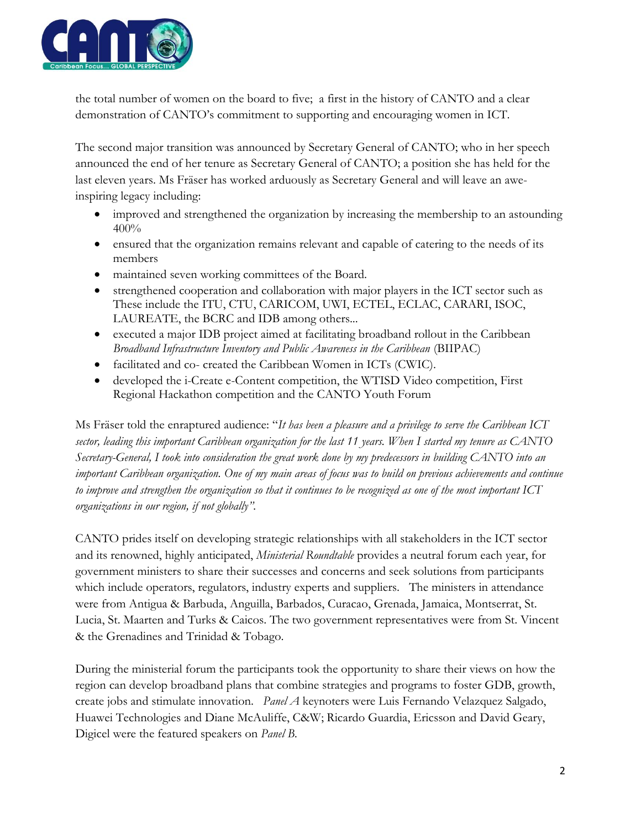

the total number of women on the board to five; a first in the history of CANTO and a clear demonstration of CANTO"s commitment to supporting and encouraging women in ICT.

The second major transition was announced by Secretary General of CANTO; who in her speech announced the end of her tenure as Secretary General of CANTO; a position she has held for the last eleven years. Ms Fräser has worked arduously as Secretary General and will leave an aweinspiring legacy including:

- improved and strengthened the organization by increasing the membership to an astounding 400%
- ensured that the organization remains relevant and capable of catering to the needs of its members
- maintained seven working committees of the Board.
- strengthened cooperation and collaboration with major players in the ICT sector such as These include the ITU, CTU, CARICOM, UWI, ECTEL, ECLAC, CARARI, ISOC, LAUREATE, the BCRC and IDB among others...
- executed a major IDB project aimed at facilitating broadband rollout in the Caribbean *Broadband Infrastructure Inventory and Public Awareness in the Caribbean* (BIIPAC)
- facilitated and co- created the Caribbean Women in ICTs (CWIC).
- developed the i-Create e-Content competition, the WTISD Video competition, First Regional Hackathon competition and the CANTO Youth Forum

Ms Fräser told the enraptured audience: "*It has been a pleasure and a privilege to serve the Caribbean ICT sector, leading this important Caribbean organization for the last 11 years. When I started my tenure as CANTO Secretary-General, I took into consideration the great work done by my predecessors in building CANTO into an important Caribbean organization. One of my main areas of focus was to build on previous achievements and continue to improve and strengthen the organization so that it continues to be recognized as one of the most important ICT organizations in our region, if not globally".*

CANTO prides itself on developing strategic relationships with all stakeholders in the ICT sector and its renowned, highly anticipated, *Ministerial Roundtable* provides a neutral forum each year, for government ministers to share their successes and concerns and seek solutions from participants which include operators, regulators, industry experts and suppliers. The ministers in attendance were from Antigua & Barbuda, Anguilla, Barbados, Curacao, Grenada, Jamaica, Montserrat, St. Lucia, St. Maarten and Turks & Caicos. The two government representatives were from St. Vincent & the Grenadines and Trinidad & Tobago.

During the ministerial forum the participants took the opportunity to share their views on how the region can develop broadband plans that combine strategies and programs to foster GDB, growth, create jobs and stimulate innovation. *Panel A* keynoters were Luis Fernando Velazquez Salgado, Huawei Technologies and Diane McAuliffe, C&W; Ricardo Guardia, Ericsson and David Geary, Digicel were the featured speakers on *Panel B.*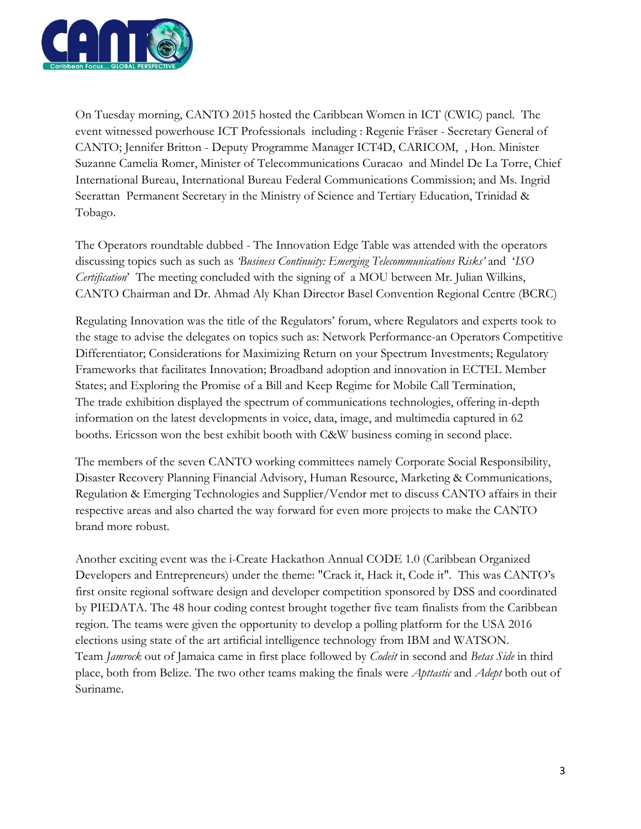

On Tuesday morning, CANTO 2015 hosted the Caribbean Women in ICT (CWIC) panel. The event witnessed powerhouse ICT Professionals including : Regenie Fräser - Secretary General of CANTO; Jennifer Britton - Deputy Programme Manager ICT4D, CARICOM, , Hon. Minister Suzanne Camelia Romer, Minister of Telecommunications Curacao and Mindel De La Torre, Chief International Bureau, International Bureau Federal Communications Commission; and Ms. Ingrid Seerattan Permanent Secretary in the Ministry of Science and Tertiary Education, Trinidad & Tobago.

The Operators roundtable dubbed - The Innovation Edge Table was attended with the operators discussing topics such as such as *'Business Continuity: Emerging Telecommunications Risks'* and "*ISO Certification*" The meeting concluded with the signing of a MOU between Mr. Julian Wilkins, CANTO Chairman and Dr. Ahmad Aly Khan Director Basel Convention Regional Centre (BCRC)

Regulating Innovation was the title of the Regulators" forum, where Regulators and experts took to the stage to advise the delegates on topics such as: Network Performance-an Operators Competitive Differentiator; Considerations for Maximizing Return on your Spectrum Investments; Regulatory Frameworks that facilitates Innovation; Broadband adoption and innovation in ECTEL Member States; and Exploring the Promise of a Bill and Keep Regime for Mobile Call Termination, The trade exhibition displayed the spectrum of communications technologies, offering in-depth information on the latest developments in voice, data, image, and multimedia captured in 62 booths. Ericsson won the best exhibit booth with C&W business coming in second place.

The members of the seven CANTO working committees namely Corporate Social Responsibility, Disaster Recovery Planning Financial Advisory, Human Resource, Marketing & Communications, Regulation & Emerging Technologies and Supplier/Vendor met to discuss CANTO affairs in their respective areas and also charted the way forward for even more projects to make the CANTO brand more robust.

Another exciting event was the i-Create Hackathon Annual CODE 1.0 (Caribbean Organized Developers and Entrepreneurs) under the theme: "Crack it, Hack it, Code it". This was CANTO"s first onsite regional software design and developer competition sponsored by DSS and coordinated by PIEDATA. The 48 hour coding contest brought together five team finalists from the Caribbean region. The teams were given the opportunity to develop a polling platform for the USA 2016 elections using state of the art artificial intelligence technology from IBM and WATSON. Team *Jamrock* out of Jamaica came in first place followed by *Codeit* in second and *Betas Side* in third place, both from Belize. The two other teams making the finals were *Apttastic* and *Adept* both out of Suriname.